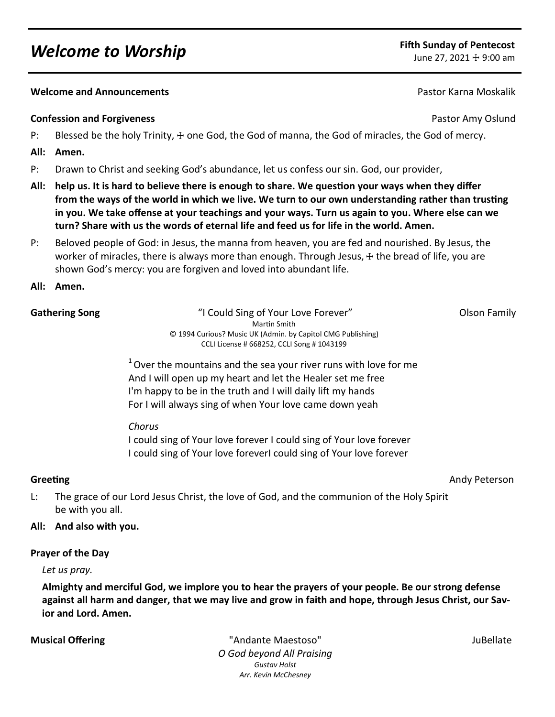# *Welcome to Worship* **Fifth Sunday of Pentecost**

#### **Melcome and Announcements Pastor Karna Moskalik Pastor Karna Moskalik Pastor Karna Moskalik**

### **Confession and Forgiveness Confession and Forgiveness Pastor Amy Oslund**

- P: Blessed be the holy Trinity,  $\pm$  one God, the God of manna, the God of miracles, the God of mercy.
- **All: Amen.**
- P: Drawn to Christ and seeking God's abundance, let us confess our sin. God, our provider,
- **All: help us. It is hard to believe there is enough to share. We question your ways when they differ from the ways of the world in which we live. We turn to our own understanding rather than trusting in you. We take offense at your teachings and your ways. Turn us again to you. Where else can we turn? Share with us the words of eternal life and feed us for life in the world. Amen.**
- P: Beloved people of God: in Jesus, the manna from heaven, you are fed and nourished. By Jesus, the worker of miracles, there is always more than enough. Through Jesus,  $+$  the bread of life, you are shown God's mercy: you are forgiven and loved into abundant life.

### **All: Amen.**

| "I Could Sing of Your Love Forever"                         | Olson Family                                                                                                               |
|-------------------------------------------------------------|----------------------------------------------------------------------------------------------------------------------------|
| Martin Smith                                                |                                                                                                                            |
| © 1994 Curious? Music UK (Admin. by Capitol CMG Publishing) |                                                                                                                            |
| CCLI License # 668252, CCLI Song # 1043199                  |                                                                                                                            |
|                                                             |                                                                                                                            |
|                                                             | $\perp \bullet$ . The second construction of the second construction of the following the second construction of $\bullet$ |

<sup>1</sup>Over the mountains and the sea your river runs with love for me And I will open up my heart and let the Healer set me free I'm happy to be in the truth and I will daily lift my hands For I will always sing of when Your love came down yeah

*Chorus* 

I could sing of Your love forever I could sing of Your love forever I could sing of Your love foreverI could sing of Your love forever

**Greeting** Andy Peterson

L: The grace of our Lord Jesus Christ, the love of God, and the communion of the Holy Spirit be with you all.

#### **All: And also with you.**

#### **Prayer of the Day**

#### *Let us pray.*

**Almighty and merciful God, we implore you to hear the prayers of your people. Be our strong defense against all harm and danger, that we may live and grow in faith and hope, through Jesus Christ, our Savior and Lord. Amen.**

**Musical Offering The Contract Contract Contract Contract Contract Contract Contract Contract Contract Contract Contract Contract Contract Contract Contract Contract Contract Contract Contract Contract Contract Contract Co** *O God beyond All Praising Gustav Holst Arr. Kevin McChesney*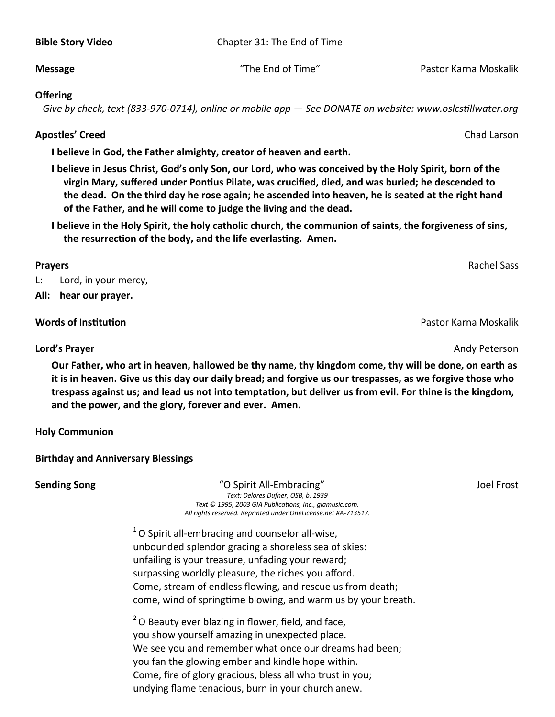**Bible Story Video** Chapter 31: The End of Time

### **Message** The End of Time" Pastor Karna Moskalik

### **Offering**

 *Give by check, text (833-970-0714), online or mobile app — See DONATE on website: www.oslcstillwater.org*

# **Apostles' Creed** Chad Larson

**I believe in God, the Father almighty, creator of heaven and earth.** 

- **I believe in Jesus Christ, God's only Son, our Lord, who was conceived by the Holy Spirit, born of the virgin Mary, suffered under Pontius Pilate, was crucified, died, and was buried; he descended to the dead. On the third day he rose again; he ascended into heaven, he is seated at the right hand of the Father, and he will come to judge the living and the dead.**
- **I believe in the Holy Spirit, the holy catholic church, the communion of saints, the forgiveness of sins, the resurrection of the body, and the life everlasting. Amen.**

### **Prayers** Rachel Sass

L: Lord, in your mercy,

**All: hear our prayer.**

# **Words of Institution** Pastor Karna Moskalik

# **Lord's Prayer** Andy Peterson

**Our Father, who art in heaven, hallowed be thy name, thy kingdom come, thy will be done, on earth as it is in heaven. Give us this day our daily bread; and forgive us our trespasses, as we forgive those who trespass against us; and lead us not into temptation, but deliver us from evil. For thine is the kingdom, and the power, and the glory, forever and ever. Amen.** 

**Holy Communion**

# **Birthday and Anniversary Blessings**

**Sending Song** Song The Supering Congress of Congress of Congress of Congress of Congress of Congress of Congress S *Text: Delores Dufner, OSB, b. 1939 Text © 1995, 2003 GIA Publications, Inc., giamusic.com. All rights reserved. Reprinted under OneLicense.net #A-713517.*

> $1$ O Spirit all-embracing and counselor all-wise, unbounded splendor gracing a shoreless sea of skies: unfailing is your treasure, unfading your reward; surpassing worldly pleasure, the riches you afford. Come, stream of endless flowing, and rescue us from death; come, wind of springtime blowing, and warm us by your breath.

 $2$ O Beauty ever blazing in flower, field, and face, you show yourself amazing in unexpected place. We see you and remember what once our dreams had been; you fan the glowing ember and kindle hope within. Come, fire of glory gracious, bless all who trust in you; undying flame tenacious, burn in your church anew.